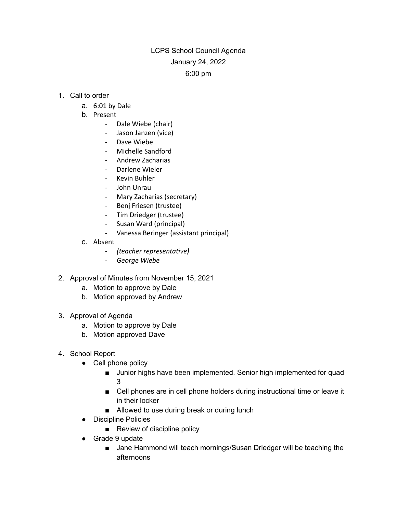## LCPS School Council Agenda January 24, 2022 6:00 pm

- 1. Call to order
	- a. 6:01 by Dale
	- b. Present
		- Dale Wiebe (chair)
		- Jason Janzen (vice)
		- Dave Wiebe
		- Michelle Sandford
		- Andrew Zacharias
		- Darlene Wieler
		- Kevin Buhler
		- John Unrau
		- Mary Zacharias (secretary)
		- Benj Friesen (trustee)
		- Tim Driedger (trustee)
		- Susan Ward (principal)
		- Vanessa Beringer (assistant principal)
	- c. Absent
		- *- (teacher representave)*
		- *- George Wiebe*
- 2. Approval of Minutes from November 15, 2021
	- a. Motion to approve by Dale
	- b. Motion approved by Andrew
- 3. Approval of Agenda
	- a. Motion to approve by Dale
	- b. Motion approved Dave
- 4. School Report
	- Cell phone policy
		- Junior highs have been implemented. Senior high implemented for quad 3
		- Cell phones are in cell phone holders during instructional time or leave it in their locker
		- Allowed to use during break or during lunch
	- Discipline Policies
		- Review of discipline policy
	- Grade 9 update
		- Jane Hammond will teach mornings/Susan Driedger will be teaching the afternoons